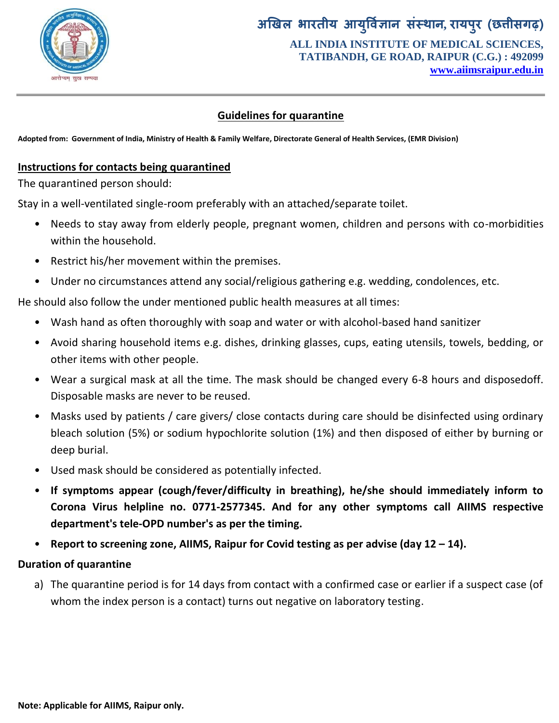

# **अखिर बायतीम आमर् ु वऻि ान संस्थान, यामऩयु )छत्तीसगढ़( ALL INDIA INSTITUTE OF MEDICAL SCIENCES, TATIBANDH, GE ROAD, RAIPUR (C.G.) : 492099**

**www.aiimsraipur.edu.in**

## **Guidelines for quarantine**

**Adopted from: Government of India, Ministry of Health & Family Welfare, Directorate General of Health Services, (EMR Division)**

### **Instructions for contacts being quarantined**

The quarantined person should:

Stay in a well-ventilated single-room preferably with an attached/separate toilet.

- Needs to stay away from elderly people, pregnant women, children and persons with co-morbidities within the household.
- Restrict his/her movement within the premises.
- Under no circumstances attend any social/religious gathering e.g. wedding, condolences, etc.

He should also follow the under mentioned public health measures at all times:

- Wash hand as often thoroughly with soap and water or with alcohol-based hand sanitizer
- Avoid sharing household items e.g. dishes, drinking glasses, cups, eating utensils, towels, bedding, or other items with other people.
- Wear a surgical mask at all the time. The mask should be changed every 6-8 hours and disposedoff. Disposable masks are never to be reused.
- Masks used by patients / care givers/ close contacts during care should be disinfected using ordinary bleach solution (5%) or sodium hypochlorite solution (1%) and then disposed of either by burning or deep burial.
- Used mask should be considered as potentially infected.
- **If symptoms appear (cough/fever/difficulty in breathing), he/she should immediately inform to Corona Virus helpline no. 0771-2577345. And for any other symptoms call AIIMS respective department's tele-OPD number's as per the timing.**
- **Report to screening zone, AIIMS, Raipur for Covid testing as per advise (day 12 – 14).**

## **Duration of quarantine**

a) The quarantine period is for 14 days from contact with a confirmed case or earlier if a suspect case (of whom the index person is a contact) turns out negative on laboratory testing.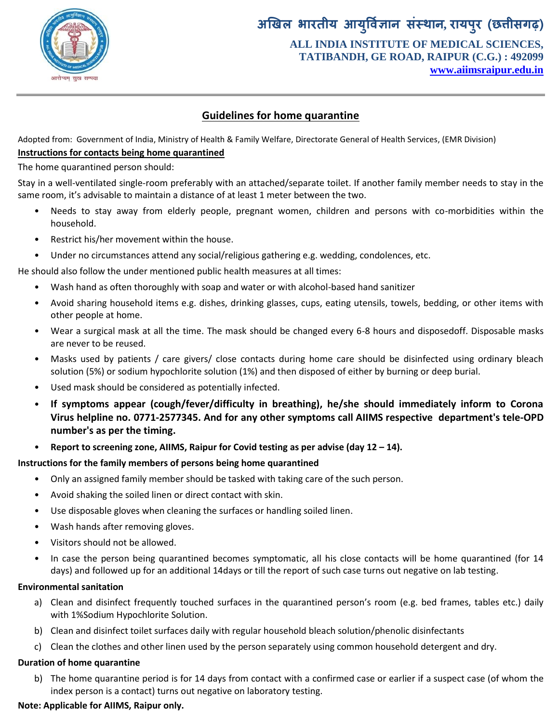

## **अखिर बायतीम आमर् ु वऻि ान संस्थान, यामऩयु )छत्तीसगढ़( ALL INDIA INSTITUTE OF MEDICAL SCIENCES, TATIBANDH, GE ROAD, RAIPUR (C.G.) : 492099 www.aiimsraipur.edu.in**

### **Guidelines for home quarantine**

Adopted from: Government of India, Ministry of Health & Family Welfare, Directorate General of Health Services, (EMR Division) **Instructions for contacts being home quarantined**

The home quarantined person should:

Stay in a well-ventilated single-room preferably with an attached/separate toilet. If another family member needs to stay in the same room, it's advisable to maintain a distance of at least 1 meter between the two.

- Needs to stay away from elderly people, pregnant women, children and persons with co-morbidities within the household.
- Restrict his/her movement within the house.
- Under no circumstances attend any social/religious gathering e.g. wedding, condolences, etc.

He should also follow the under mentioned public health measures at all times:

- Wash hand as often thoroughly with soap and water or with alcohol-based hand sanitizer
- Avoid sharing household items e.g. dishes, drinking glasses, cups, eating utensils, towels, bedding, or other items with other people at home.
- Wear a surgical mask at all the time. The mask should be changed every 6-8 hours and disposedoff. Disposable masks are never to be reused.
- Masks used by patients / care givers/ close contacts during home care should be disinfected using ordinary bleach solution (5%) or sodium hypochlorite solution (1%) and then disposed of either by burning or deep burial.
- Used mask should be considered as potentially infected.
- **If symptoms appear (cough/fever/difficulty in breathing), he/she should immediately inform to Corona Virus helpline no. 0771-2577345. And for any other symptoms call AIIMS respective department's tele-OPD number's as per the timing.**
- **Report to screening zone, AIIMS, Raipur for Covid testing as per advise (day 12 – 14).**

#### **Instructions for the family members of persons being home quarantined**

- Only an assigned family member should be tasked with taking care of the such person.
- Avoid shaking the soiled linen or direct contact with skin.
- Use disposable gloves when cleaning the surfaces or handling soiled linen.
- Wash hands after removing gloves.
- Visitors should not be allowed.
- In case the person being quarantined becomes symptomatic, all his close contacts will be home quarantined (for 14 days) and followed up for an additional 14days or till the report of such case turns out negative on lab testing.

#### **Environmental sanitation**

- a) Clean and disinfect frequently touched surfaces in the quarantined person's room (e.g. bed frames, tables etc.) daily with 1%Sodium Hypochlorite Solution.
- b) Clean and disinfect toilet surfaces daily with regular household bleach solution/phenolic disinfectants
- c) Clean the clothes and other linen used by the person separately using common household detergent and dry.

#### **Duration of home quarantine**

b) The home quarantine period is for 14 days from contact with a confirmed case or earlier if a suspect case (of whom the index person is a contact) turns out negative on laboratory testing.

#### **Note: Applicable for AIIMS, Raipur only.**